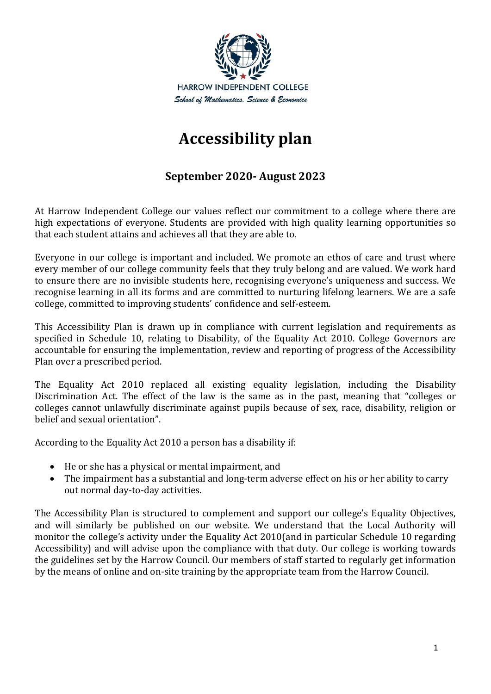

# **Accessibility plan**

## **September 2020- August 2023**

At Harrow Independent College our values reflect our commitment to a college where there are high expectations of everyone. Students are provided with high quality learning opportunities so that each student attains and achieves all that they are able to.

Everyone in our college is important and included. We promote an ethos of care and trust where every member of our college community feels that they truly belong and are valued. We work hard to ensure there are no invisible students here, recognising everyone's uniqueness and success. We recognise learning in all its forms and are committed to nurturing lifelong learners. We are a safe college, committed to improving students' confidence and self-esteem.

This Accessibility Plan is drawn up in compliance with current legislation and requirements as specified in Schedule 10, relating to Disability, of the Equality Act 2010. College Governors are accountable for ensuring the implementation, review and reporting of progress of the Accessibility Plan over a prescribed period.

The Equality Act 2010 replaced all existing equality legislation, including the Disability Discrimination Act. The effect of the law is the same as in the past, meaning that "colleges or colleges cannot unlawfully discriminate against pupils because of sex, race, disability, religion or belief and sexual orientation".

According to the Equality Act 2010 a person has a disability if:

- He or she has a physical or mental impairment, and
- The impairment has a substantial and long-term adverse effect on his or her ability to carry out normal day-to-day activities.

The Accessibility Plan is structured to complement and support our college's Equality Objectives, and will similarly be published on our website. We understand that the Local Authority will monitor the college's activity under the Equality Act 2010(and in particular Schedule 10 regarding Accessibility) and will advise upon the compliance with that duty. Our college is working towards the guidelines set by the Harrow Council. Our members of staff started to regularly get information by the means of online and on-site training by the appropriate team from the Harrow Council.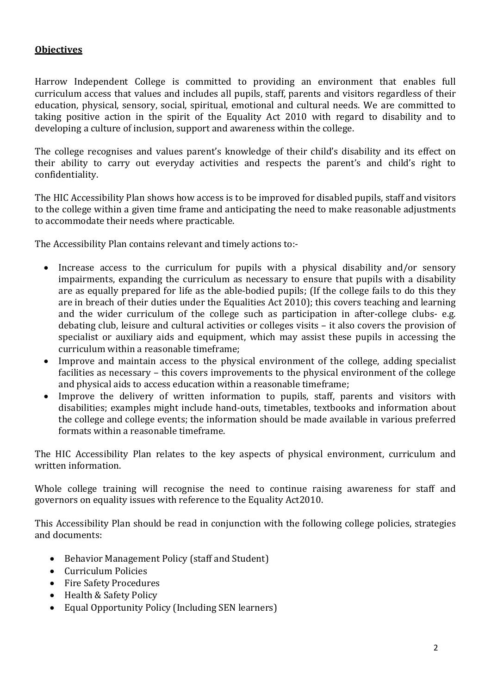#### **Objectives**

Harrow Independent College is committed to providing an environment that enables full curriculum access that values and includes all pupils, staff, parents and visitors regardless of their education, physical, sensory, social, spiritual, emotional and cultural needs. We are committed to taking positive action in the spirit of the Equality Act 2010 with regard to disability and to developing a culture of inclusion, support and awareness within the college.

The college recognises and values parent's knowledge of their child's disability and its effect on their ability to carry out everyday activities and respects the parent's and child's right to confidentiality.

The HIC Accessibility Plan shows how access is to be improved for disabled pupils, staff and visitors to the college within a given time frame and anticipating the need to make reasonable adjustments to accommodate their needs where practicable.

The Accessibility Plan contains relevant and timely actions to:-

- Increase access to the curriculum for pupils with a physical disability and/or sensory impairments, expanding the curriculum as necessary to ensure that pupils with a disability are as equally prepared for life as the able-bodied pupils; (If the college fails to do this they are in breach of their duties under the Equalities Act 2010); this covers teaching and learning and the wider curriculum of the college such as participation in after-college clubs- e.g. debating club, leisure and cultural activities or colleges visits – it also covers the provision of specialist or auxiliary aids and equipment, which may assist these pupils in accessing the curriculum within a reasonable timeframe;
- Improve and maintain access to the physical environment of the college, adding specialist facilities as necessary – this covers improvements to the physical environment of the college and physical aids to access education within a reasonable timeframe;
- Improve the delivery of written information to pupils, staff, parents and visitors with disabilities; examples might include hand-outs, timetables, textbooks and information about the college and college events; the information should be made available in various preferred formats within a reasonable timeframe.

The HIC Accessibility Plan relates to the key aspects of physical environment, curriculum and written information.

Whole college training will recognise the need to continue raising awareness for staff and governors on equality issues with reference to the Equality Act2010.

This Accessibility Plan should be read in conjunction with the following college policies, strategies and documents:

- Behavior Management Policy (staff and Student)
- Curriculum Policies
- Fire Safety Procedures
- Health & Safety Policy
- Equal Opportunity Policy (Including SEN learners)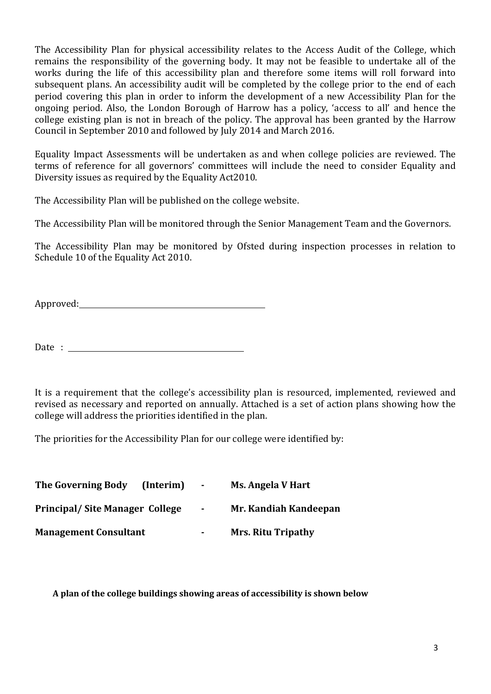The Accessibility Plan for physical accessibility relates to the Access Audit of the College, which remains the responsibility of the governing body. It may not be feasible to undertake all of the works during the life of this accessibility plan and therefore some items will roll forward into subsequent plans. An accessibility audit will be completed by the college prior to the end of each period covering this plan in order to inform the development of a new Accessibility Plan for the ongoing period. Also, the London Borough of Harrow has a policy, 'access to all' and hence the college existing plan is not in breach of the policy. The approval has been granted by the Harrow Council in September 2010 and followed by July 2014 and March 2016.

Equality Impact Assessments will be undertaken as and when college policies are reviewed. The terms of reference for all governors' committees will include the need to consider Equality and Diversity issues as required by the Equality Act2010.

The Accessibility Plan will be published on the college website.

The Accessibility Plan will be monitored through the Senior Management Team and the Governors.

The Accessibility Plan may be monitored by Ofsted during inspection processes in relation to Schedule 10 of the Equality Act 2010.

Approved:

Date :  $\frac{1}{\sqrt{1-\frac{1}{2}}}\left\vert \frac{1}{2}\right\rangle$ 

It is a requirement that the college's accessibility plan is resourced, implemented, reviewed and revised as necessary and reported on annually. Attached is a set of action plans showing how the college will address the priorities identified in the plan.

The priorities for the Accessibility Plan for our college were identified by:

| <b>The Governing Body</b>             | (Interim) | $\sim$ | <b>Ms. Angela V Hart</b>  |
|---------------------------------------|-----------|--------|---------------------------|
| <b>Principal/Site Manager College</b> |           | $\sim$ | Mr. Kandiah Kandeepan     |
| <b>Management Consultant</b>          |           | ۰      | <b>Mrs. Ritu Tripathy</b> |

**A plan of the college buildings showing areas of accessibility is shown below**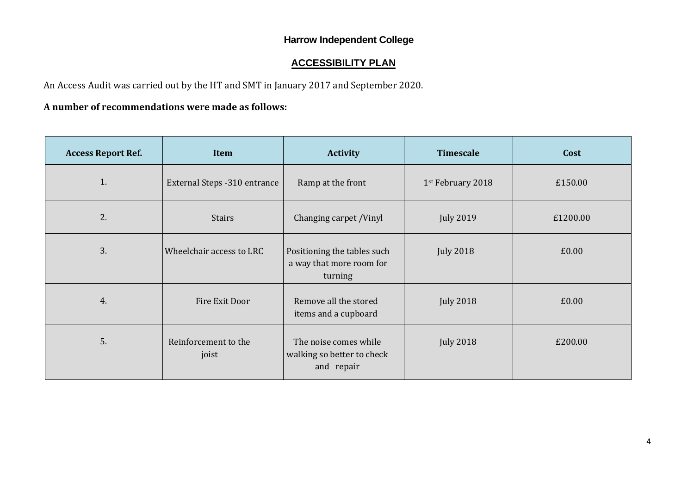## **Harrow Independent College**

## **ACCESSIBILITY PLAN**

An Access Audit was carried out by the HT and SMT in January 2017 and September 2020.

#### **A number of recommendations were made as follows:**

| <b>Access Report Ref.</b> | Item                          | <b>Timescale</b><br><b>Activity</b>                                |                   | Cost    |
|---------------------------|-------------------------------|--------------------------------------------------------------------|-------------------|---------|
| 1.                        | External Steps - 310 entrance | Ramp at the front                                                  | 1st February 2018 | £150.00 |
| 2.                        | <b>Stairs</b>                 | Changing carpet /Vinyl                                             | <b>July 2019</b>  |         |
| 3.                        | Wheelchair access to LRC      | Positioning the tables such<br>a way that more room for<br>turning | <b>July 2018</b>  | £0.00   |
| 4.                        | Fire Exit Door                | Remove all the stored<br>items and a cupboard                      | <b>July 2018</b>  | £0.00   |
| 5.                        | Reinforcement to the<br>joist | The noise comes while<br>walking so better to check<br>and repair  | <b>July 2018</b>  | £200.00 |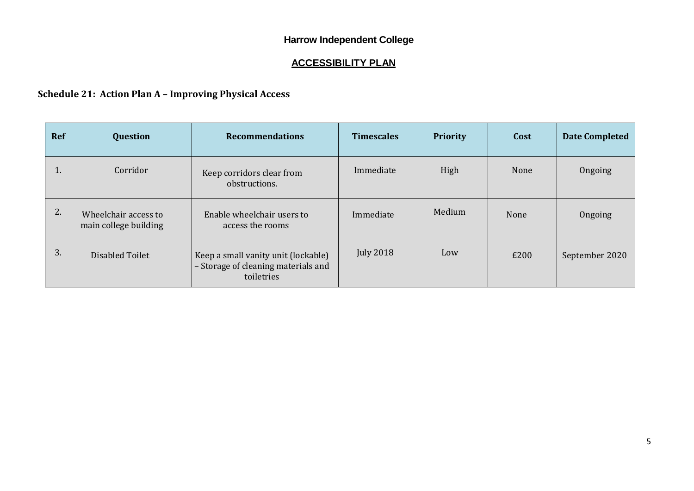## **Harrow Independent College**

## **ACCESSIBILITY PLAN**

## **Schedule 21: Action Plan A – Improving Physical Access**

| <b>Ref</b> | <b>Question</b>                               | <b>Recommendations</b>                                                                   | <b>Timescales</b> | <b>Priority</b> | Cost | <b>Date Completed</b> |
|------------|-----------------------------------------------|------------------------------------------------------------------------------------------|-------------------|-----------------|------|-----------------------|
| π.         | Corridor                                      | Keep corridors clear from<br>obstructions.                                               | Immediate         | High            | None | Ongoing               |
| 2.         | Wheelchair access to<br>main college building | Enable wheelchair users to<br>access the rooms                                           | Immediate         | Medium          | None | Ongoing               |
| 3.         | Disabled Toilet                               | Keep a small vanity unit (lockable)<br>- Storage of cleaning materials and<br>toiletries | <b>July 2018</b>  | Low             | £200 | September 2020        |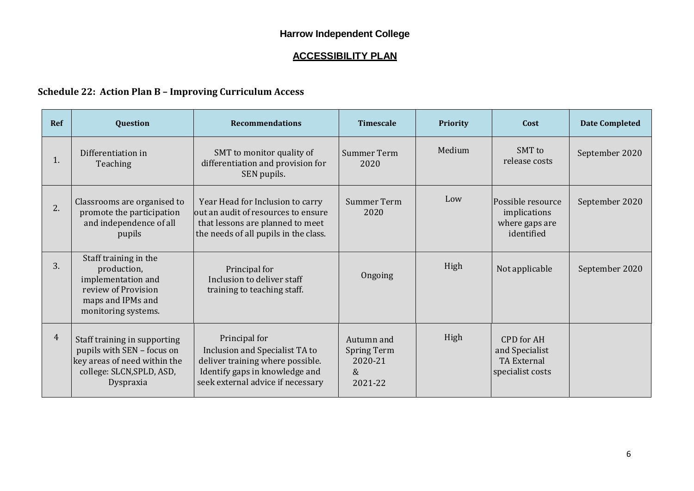# **ACCESSIBILITY PLAN**

## **Schedule 22: Action Plan B – Improving Curriculum Access**

| <b>Ref</b>     | <b>Question</b>                                                                                                                      | <b>Recommendations</b>                                                                                                                                     | <b>Timescale</b>                                               | <b>Priority</b> | Cost                                                                          | <b>Date Completed</b> |
|----------------|--------------------------------------------------------------------------------------------------------------------------------------|------------------------------------------------------------------------------------------------------------------------------------------------------------|----------------------------------------------------------------|-----------------|-------------------------------------------------------------------------------|-----------------------|
| 1.             | Differentiation in<br>Teaching                                                                                                       | SMT to monitor quality of<br>differentiation and provision for<br>SEN pupils.                                                                              | <b>Summer Term</b><br>2020                                     | Medium          | SMT to<br>release costs                                                       | September 2020        |
| 2.             | Classrooms are organised to<br>promote the participation<br>and independence of all<br>pupils                                        | Year Head for Inclusion to carry<br>out an audit of resources to ensure<br>that lessons are planned to meet<br>the needs of all pupils in the class.       | Summer Term<br>2020                                            | Low             | Possible resource<br>implications<br>where gaps are<br>identified             | September 2020        |
| 3.             | Staff training in the<br>production,<br>implementation and<br>review of Provision<br>maps and IPMs and<br>monitoring systems.        | Principal for<br>Inclusion to deliver staff<br>training to teaching staff.                                                                                 | Ongoing                                                        | High            | Not applicable                                                                | September 2020        |
| $\overline{4}$ | Staff training in supporting<br>pupils with SEN - focus on<br>key areas of need within the<br>college: SLCN, SPLD, ASD,<br>Dyspraxia | Principal for<br>Inclusion and Specialist TA to<br>deliver training where possible.<br>Identify gaps in knowledge and<br>seek external advice if necessary | Autumn and<br><b>Spring Term</b><br>2020-21<br>$\&$<br>2021-22 | High            | <b>CPD</b> for AH<br>and Specialist<br><b>TA External</b><br>specialist costs |                       |